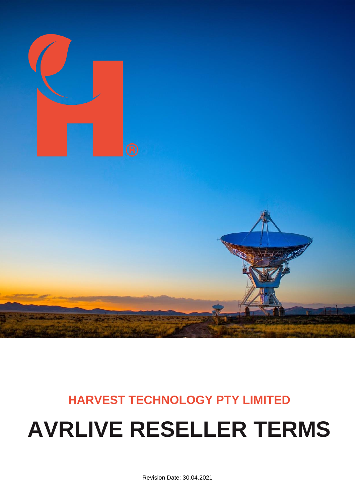

# **HARVEST TECHNOLOGY PTY LIMITED**

## **AVRLIVE RESELLER TERMS**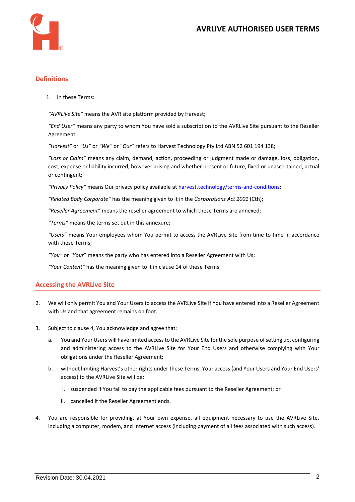

#### **Definitions**

1. In these Terms:

*"AVRLive Site"* means the AVR site platform provided by Harvest;

*"End User"* means any party to whom You have sold a subscription to the AVRLive Site pursuant to the Reseller Agreement;

*"Harvest"* or *"Us"* or *"We"* or "*Our*" refers to Harvest Technology Pty Ltd ABN 52 601 194 138;

*"Loss or Claim"* means any claim, demand, action, proceeding or judgment made or damage, loss, obligation, cost, expense or liability incurred, however arising and whether present or future, fixed or unascertained, actual or contingent;

*"Privacy Policy"* means Our privacy policy available at [harvest.technology/terms-and-conditions;](https://www.harvest.technology/terms-and-conditions)

*"Related Body Corporate"* has the meaning given to it in the *Corporations Act 2001* (Cth);

*"Reseller Agreement"* means the reseller agreement to which these Terms are annexed;

*"Terms"* means the terms set out in this annexure;

*"Users"* means Your employees whom You permit to access the AVRLive Site from time to time in accordance with these Terms;

*"You"* or "*Your*" means the party who has entered into a Reseller Agreement with Us;

*"Your Content"* has the meaning given to it in clause [14](#page-3-0) of these Terms.

#### **Accessing the AVRLive Site**

- 2. We will only permit You and Your Users to access the AVRLive Site if You have entered into a Reseller Agreement with Us and that agreement remains on foot.
- 3. Subject to clause 4, You acknowledge and agree that:
	- a. You and Your Users will have limited access to the AVRLive Site for the sole purpose of setting up, configuring and administering access to the AVRLive Site for Your End Users and otherwise complying with Your obligations under the Reseller Agreement;
	- b. without limiting Harvest's other rights under these Terms, Your access (and Your Users and Your End Users' access) to the AVRLive Site will be:
		- i. suspended if You fail to pay the applicable fees pursuant to the Reseller Agreement; or
		- ii. cancelled if the Reseller Agreement ends.
- 4. You are responsible for providing, at Your own expense, all equipment necessary to use the AVRLive Site, including a computer, modem, and Internet access (including payment of all fees associated with such access).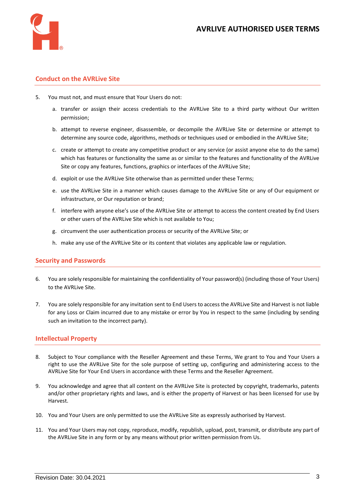

#### **Conduct on the AVRLive Site**

- 5. You must not, and must ensure that Your Users do not:
	- a. transfer or assign their access credentials to the AVRLive Site to a third party without Our written permission;
	- b. attempt to reverse engineer, disassemble, or decompile the AVRLive Site or determine or attempt to determine any source code, algorithms, methods or techniques used or embodied in the AVRLive Site;
	- c. create or attempt to create any competitive product or any service (or assist anyone else to do the same) which has features or functionality the same as or similar to the features and functionality of the AVRLive Site or copy any features, functions, graphics or interfaces of the AVRLive Site;
	- d. exploit or use the AVRLive Site otherwise than as permitted under these Terms;
	- e. use the AVRLive Site in a manner which causes damage to the AVRLive Site or any of Our equipment or infrastructure, or Our reputation or brand;
	- f. interfere with anyone else's use of the AVRLive Site or attempt to access the content created by End Users or other users of the AVRLive Site which is not available to You;
	- g. circumvent the user authentication process or security of the AVRLive Site; or
	- h. make any use of the AVRLive Site or its content that violates any applicable law or regulation.

#### **Security and Passwords**

- 6. You are solely responsible for maintaining the confidentiality of Your password(s) (including those of Your Users) to the AVRLive Site.
- 7. You are solely responsible for any invitation sent to End Users to access the AVRLive Site and Harvest is not liable for any Loss or Claim incurred due to any mistake or error by You in respect to the same (including by sending such an invitation to the incorrect party).

#### **Intellectual Property**

- 8. Subject to Your compliance with the Reseller Agreement and these Terms, We grant to You and Your Users a right to use the AVRLive Site for the sole purpose of setting up, configuring and administering access to the AVRLive Site for Your End Users in accordance with these Terms and the Reseller Agreement.
- 9. You acknowledge and agree that all content on the AVRLive Site is protected by copyright, trademarks, patents and/or other proprietary rights and laws, and is either the property of Harvest or has been licensed for use by Harvest.
- 10. You and Your Users are only permitted to use the AVRLive Site as expressly authorised by Harvest.
- 11. You and Your Users may not copy, reproduce, modify, republish, upload, post, transmit, or distribute any part of the AVRLive Site in any form or by any means without prior written permission from Us.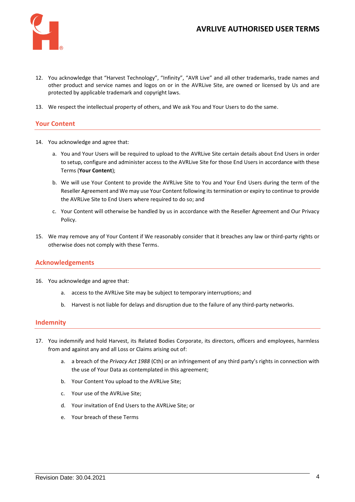

### **AVRLIVE AUTHORISED USER TERMS**

- 12. You acknowledge that "Harvest Technology", "Infinity", "AVR Live" and all other trademarks, trade names and other product and service names and logos on or in the AVRLive Site, are owned or licensed by Us and are protected by applicable trademark and copyright laws.
- 13. We respect the intellectual property of others, and We ask You and Your Users to do the same.

#### **Your Content**

- <span id="page-3-0"></span>14. You acknowledge and agree that:
	- a. You and Your Users will be required to upload to the AVRLive Site certain details about End Users in order to setup, configure and administer access to the AVRLive Site for those End Users in accordance with these Terms (**Your Content**);
	- b. We will use Your Content to provide the AVRLive Site to You and Your End Users during the term of the Reseller Agreement and We may use Your Content following its termination or expiry to continue to provide the AVRLive Site to End Users where required to do so; and
	- c. Your Content will otherwise be handled by us in accordance with the Reseller Agreement and Our Privacy Policy.
- 15. We may remove any of Your Content if We reasonably consider that it breaches any law or third-party rights or otherwise does not comply with these Terms.

#### **Acknowledgements**

- 16. You acknowledge and agree that:
	- a. access to the AVRLive Site may be subject to temporary interruptions; and
	- b. Harvest is not liable for delays and disruption due to the failure of any third-party networks.

#### **Indemnity**

- 17. You indemnify and hold Harvest, its Related Bodies Corporate, its directors, officers and employees, harmless from and against any and all Loss or Claims arising out of:
	- a. a breach of the *Privacy Act 1988* (Cth) or an infringement of any third party's rights in connection with the use of Your Data as contemplated in this agreement;
	- b. Your Content You upload to the AVRLive Site;
	- c. Your use of the AVRLive Site;
	- d. Your invitation of End Users to the AVRLive Site; or
	- e. Your breach of these Terms